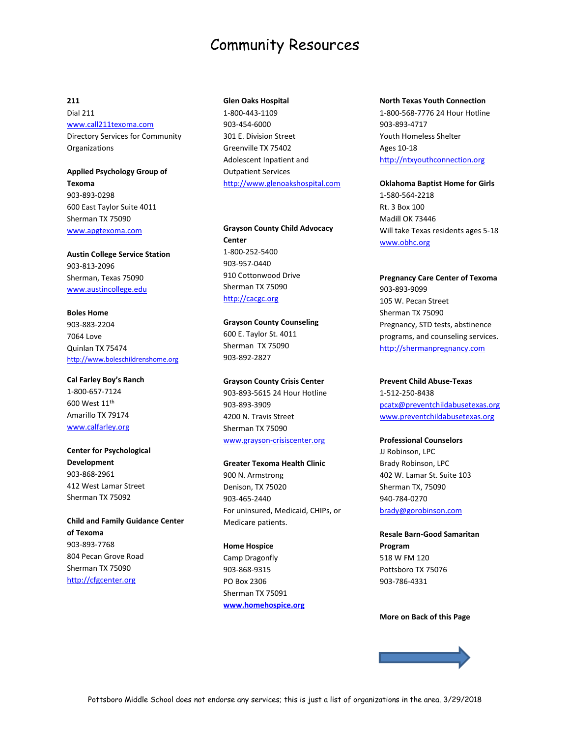# Community Resources

## **211**

Dial 211 [www.call211texoma.com](http://www.call211texoma.com/) Directory Services for Community Organizations

**Applied Psychology Group of Texoma** 903-893-0298 600 East Taylor Suite 4011 Sherman TX 75090 [www.apgtexoma.com](http://www.apgtexoma.com/)

**Austin College Service Station** 903-813-2096 Sherman, Texas 75090 [www.austincollege.edu](http://www.austincollege.edu/)

**Boles Home** 903-883-2204 7064 Love Quinlan TX 75474 [http://www.boleschildrenshome.org](http://www.boleschildrenshome.org/)

**Cal Farley Boy's Ranch** 1-800-657-7124 600 West 11th Amarillo TX 79174 [www.calfarley.org](http://www.calfarley.org/)

**Center for Psychological Development** 903-868-2961 412 West Lamar Street Sherman TX 75092

**Child and Family Guidance Center of Texoma** 903-893-7768 804 Pecan Grove Road Sherman TX 75090 [http://cfgcenter.org](http://cfgcenter.org/)

### **Glen Oaks Hospital**

1-800-443-1109 903-454-6000 301 E. Division Street Greenville TX 75402 Adolescent Inpatient and Outpatient Services [http://www.glenoakshospital.com](http://www.glenoakshospital.com/)

**Grayson County Child Advocacy Center** 1-800-252-5400 903-957-0440 910 Cottonwood Drive Sherman TX 75090 [http://cacgc.org](http://cacgc.org/)

**Grayson County Counseling**  600 E. Taylor St. 4011 Sherman TX 75090 903-892-2827

**Grayson County Crisis Center** 903-893-5615 24 Hour Hotline 903-893-3909 4200 N. Travis Street Sherman TX 75090 [www.grayson-crisiscenter.org](http://www.grayson-crisiscenter.org/)

**Greater Texoma Health Clinic** 900 N. Armstrong Denison, TX 75020 903-465-2440 For uninsured, Medicaid, CHIPs, or Medicare patients.

**Home Hospice** Camp Dragonfly 903-868-9315 PO Box 2306 Sherman TX 75091 **[www.homehospice.org](http://www.homehospice.org/)**

#### **North Texas Youth Connection**

1-800-568-7776 24 Hour Hotline 903-893-4717 Youth Homeless Shelter Ages 10-18 [http://ntxyouthconnection.org](http://ntxyouthconnection.org/)

**Oklahoma Baptist Home for Girls** 1-580-564-2218 Rt. 3 Box 100 Madill OK 73446 Will take Texas residents ages 5-18 [www.obhc.org](http://www.obhc.org/)

**Pregnancy Care Center of Texoma** 903-893-9099 105 W. Pecan Street Sherman TX 75090 Pregnancy, STD tests, abstinence programs, and counseling services. [http://shermanpregnancy.com](http://shermanpregnancy.com/)

#### **Prevent Child Abuse-Texas**

1-512-250-8438 [pcatx@preventchildabusetexas.org](mailto:pcatx@preventchildabusetexas.org) [www.preventchildabusetexas.org](http://www.preventchildabusetexas.org/)

### **Professional Counselors**

JJ Robinson, LPC Brady Robinson, LPC 402 W. Lamar St. Suite 103 Sherman TX, 75090 940-784-0270 [brady@gorobinson.com](mailto:brady@gorobinson.com)

**Resale Barn-Good Samaritan Program** 518 W FM 120 Pottsboro TX 75076

#### **More on Back of this Page**

903-786-4331